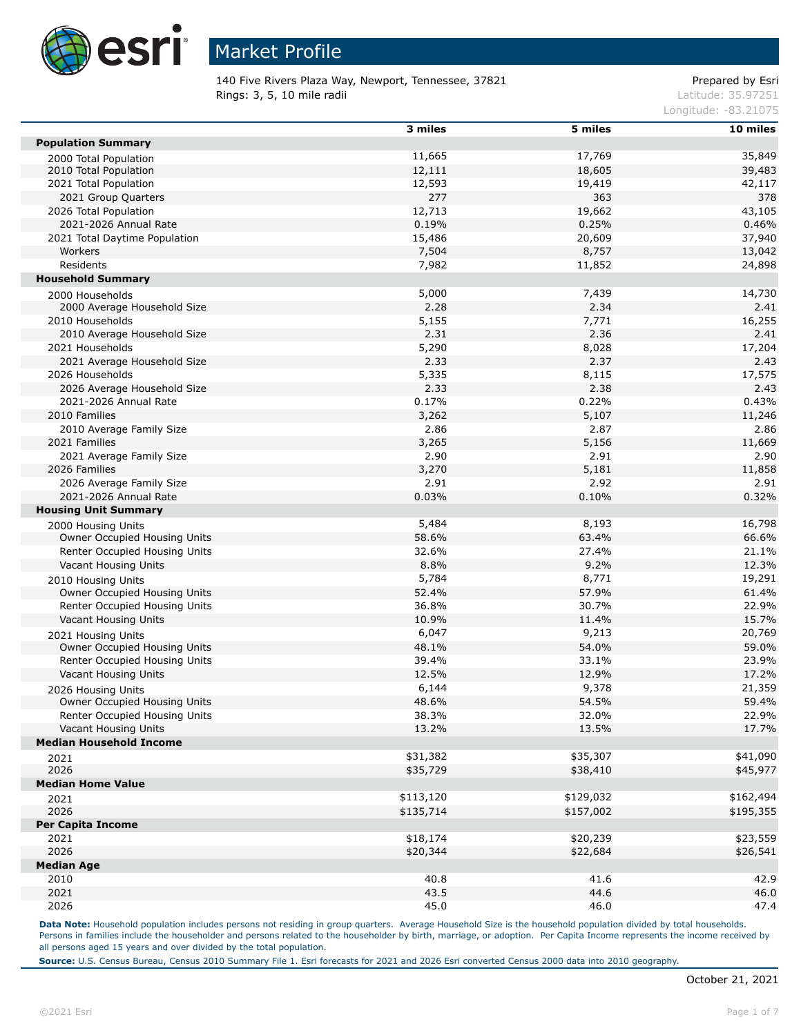

140 Five Rivers Plaza Way, Newport, Tennessee, 37821 entitled and the State Prepared by Esri Rings: 3, 5, 10 mile radii and the contract of the contract of the contract of the contract of the contract of the contract of the contract of the contract of the contract of the contract of the contract of the contract of

Longitude: -83.21075

|                                | 3 miles   | 5 miles   | 10 miles  |
|--------------------------------|-----------|-----------|-----------|
| <b>Population Summary</b>      |           |           |           |
| 2000 Total Population          | 11,665    | 17,769    | 35,849    |
| 2010 Total Population          | 12,111    | 18,605    | 39,483    |
| 2021 Total Population          | 12,593    | 19,419    | 42,117    |
| 2021 Group Quarters            | 277       | 363       | 378       |
| 2026 Total Population          | 12,713    | 19,662    | 43,105    |
| 2021-2026 Annual Rate          | 0.19%     | 0.25%     | 0.46%     |
| 2021 Total Daytime Population  | 15,486    | 20,609    | 37,940    |
| Workers                        | 7,504     | 8,757     | 13,042    |
| Residents                      | 7,982     | 11,852    | 24,898    |
| <b>Household Summary</b>       |           |           |           |
| 2000 Households                | 5,000     | 7,439     | 14,730    |
| 2000 Average Household Size    | 2.28      | 2.34      | 2.41      |
| 2010 Households                | 5,155     | 7,771     | 16,255    |
| 2010 Average Household Size    | 2.31      | 2.36      | 2.41      |
| 2021 Households                | 5,290     | 8,028     | 17,204    |
| 2021 Average Household Size    | 2.33      | 2.37      | 2.43      |
| 2026 Households                | 5,335     | 8,115     | 17,575    |
| 2026 Average Household Size    | 2.33      | 2.38      | 2.43      |
| 2021-2026 Annual Rate          | 0.17%     |           |           |
|                                |           | 0.22%     | 0.43%     |
| 2010 Families                  | 3,262     | 5,107     | 11,246    |
| 2010 Average Family Size       | 2.86      | 2.87      | 2.86      |
| 2021 Families                  | 3,265     | 5,156     | 11,669    |
| 2021 Average Family Size       | 2.90      | 2.91      | 2.90      |
| 2026 Families                  | 3,270     | 5,181     | 11,858    |
| 2026 Average Family Size       | 2.91      | 2.92      | 2.91      |
| 2021-2026 Annual Rate          | 0.03%     | 0.10%     | 0.32%     |
| <b>Housing Unit Summary</b>    |           |           |           |
| 2000 Housing Units             | 5,484     | 8,193     | 16,798    |
| Owner Occupied Housing Units   | 58.6%     | 63.4%     | 66.6%     |
| Renter Occupied Housing Units  | 32.6%     | 27.4%     | 21.1%     |
| Vacant Housing Units           | 8.8%      | 9.2%      | 12.3%     |
| 2010 Housing Units             | 5,784     | 8,771     | 19,291    |
| Owner Occupied Housing Units   | 52.4%     | 57.9%     | 61.4%     |
| Renter Occupied Housing Units  | 36.8%     | 30.7%     | 22.9%     |
| Vacant Housing Units           | 10.9%     | 11.4%     | 15.7%     |
| 2021 Housing Units             | 6,047     | 9,213     | 20,769    |
| Owner Occupied Housing Units   | 48.1%     | 54.0%     | 59.0%     |
| Renter Occupied Housing Units  | 39.4%     | 33.1%     | 23.9%     |
| Vacant Housing Units           | 12.5%     | 12.9%     | 17.2%     |
| 2026 Housing Units             | 6,144     | 9,378     | 21,359    |
| Owner Occupied Housing Units   | 48.6%     | 54.5%     | 59.4%     |
| Renter Occupied Housing Units  | 38.3%     | 32.0%     | 22.9%     |
| Vacant Housing Units           | 13.2%     | 13.5%     | 17.7%     |
| <b>Median Household Income</b> |           |           |           |
| 2021                           | \$31,382  | \$35,307  | \$41,090  |
| 2026                           | \$35,729  | \$38,410  | \$45,977  |
| <b>Median Home Value</b>       |           |           |           |
|                                | \$113,120 | \$129,032 | \$162,494 |
| 2021<br>2026                   | \$135,714 | \$157,002 | \$195,355 |
| <b>Per Capita Income</b>       |           |           |           |
| 2021                           | \$18,174  | \$20,239  | \$23,559  |
| 2026                           |           |           |           |
|                                | \$20,344  | \$22,684  | \$26,541  |
| <b>Median Age</b>              |           |           |           |
| 2010                           | 40.8      | 41.6      | 42.9      |
| 2021                           | 43.5      | 44.6      | 46.0      |
| 2026                           | 45.0      | 46.0      | 47.4      |

Data Note: Household population includes persons not residing in group quarters. Average Household Size is the household population divided by total households. Persons in families include the householder and persons related to the householder by birth, marriage, or adoption. Per Capita Income represents the income received by all persons aged 15 years and over divided by the total population.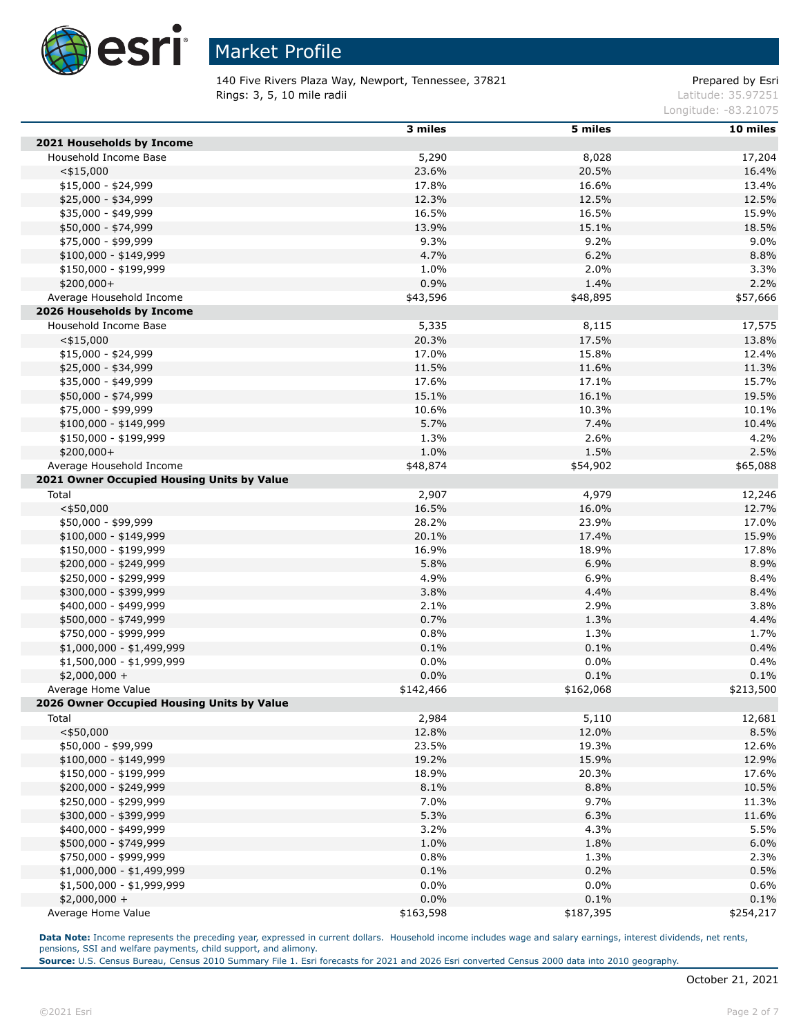

140 Five Rivers Plaza Way, Newport, Tennessee, 37821 entitled and the Compared by Esri **Rings: 3, 5, 10 mile radii** Latitude: 35.97251

Longitude: -83.21075

|                                            | 3 miles   | 5 miles   | 10 miles  |
|--------------------------------------------|-----------|-----------|-----------|
| 2021 Households by Income                  |           |           |           |
| Household Income Base                      | 5,290     | 8,028     | 17,204    |
| $<$ \$15,000                               | 23.6%     | 20.5%     | 16.4%     |
| $$15,000 - $24,999$                        | 17.8%     | 16.6%     | 13.4%     |
| \$25,000 - \$34,999                        | 12.3%     | 12.5%     | 12.5%     |
| \$35,000 - \$49,999                        | 16.5%     | 16.5%     | 15.9%     |
| \$50,000 - \$74,999                        | 13.9%     | 15.1%     | 18.5%     |
| \$75,000 - \$99,999                        | 9.3%      | 9.2%      | 9.0%      |
| $$100,000 - $149,999$                      | 4.7%      | 6.2%      | 8.8%      |
| \$150,000 - \$199,999                      | 1.0%      | 2.0%      | 3.3%      |
| $$200,000+$                                | 0.9%      | 1.4%      | 2.2%      |
| Average Household Income                   | \$43,596  | \$48,895  | \$57,666  |
| 2026 Households by Income                  |           |           |           |
| Household Income Base                      | 5,335     | 8,115     | 17,575    |
| $<$ \$15,000                               | 20.3%     | 17.5%     | 13.8%     |
| $$15,000 - $24,999$                        | 17.0%     | 15.8%     | 12.4%     |
| \$25,000 - \$34,999                        | 11.5%     | 11.6%     | 11.3%     |
| \$35,000 - \$49,999                        | 17.6%     | 17.1%     | 15.7%     |
| \$50,000 - \$74,999                        | 15.1%     | 16.1%     | 19.5%     |
| \$75,000 - \$99,999                        | 10.6%     | 10.3%     | 10.1%     |
| $$100,000 - $149,999$                      | 5.7%      | 7.4%      | 10.4%     |
| \$150,000 - \$199,999                      | 1.3%      | 2.6%      | 4.2%      |
| \$200,000+                                 | 1.0%      | 1.5%      | 2.5%      |
| Average Household Income                   | \$48,874  | \$54,902  | \$65,088  |
| 2021 Owner Occupied Housing Units by Value |           |           |           |
| Total                                      | 2,907     | 4,979     | 12,246    |
| $<$ \$50,000                               | 16.5%     | 16.0%     | 12.7%     |
| \$50,000 - \$99,999                        | 28.2%     | 23.9%     | 17.0%     |
| $$100,000 - $149,999$                      | 20.1%     | 17.4%     | 15.9%     |
| \$150,000 - \$199,999                      | 16.9%     | 18.9%     | 17.8%     |
| \$200,000 - \$249,999                      | 5.8%      | 6.9%      | 8.9%      |
| \$250,000 - \$299,999                      | 4.9%      | 6.9%      | 8.4%      |
| \$300,000 - \$399,999                      | 3.8%      | 4.4%      | 8.4%      |
| \$400,000 - \$499,999                      | 2.1%      | 2.9%      | 3.8%      |
| \$500,000 - \$749,999                      | 0.7%      | 1.3%      | 4.4%      |
| \$750,000 - \$999,999                      | 0.8%      | 1.3%      | 1.7%      |
| \$1,000,000 - \$1,499,999                  | 0.1%      | 0.1%      | 0.4%      |
| \$1,500,000 - \$1,999,999                  | 0.0%      | 0.0%      | 0.4%      |
| $$2,000,000 +$                             | 0.0%      | 0.1%      | 0.1%      |
| Average Home Value                         | \$142,466 | \$162,068 | \$213,500 |
| 2026 Owner Occupied Housing Units by Value |           |           |           |
| Total                                      | 2,984     | 5,110     | 12,681    |
| $<$ \$50,000                               | 12.8%     | 12.0%     | 8.5%      |
| \$50,000 - \$99,999                        | 23.5%     | 19.3%     | 12.6%     |
| $$100,000 - $149,999$                      | 19.2%     | 15.9%     | 12.9%     |
| \$150,000 - \$199,999                      | 18.9%     | 20.3%     | 17.6%     |
| \$200,000 - \$249,999                      | 8.1%      | 8.8%      | 10.5%     |
| \$250,000 - \$299,999                      | 7.0%      | 9.7%      | 11.3%     |
| \$300,000 - \$399,999                      | 5.3%      | 6.3%      | 11.6%     |
| \$400,000 - \$499,999                      | 3.2%      | 4.3%      | 5.5%      |
| \$500,000 - \$749,999                      | 1.0%      | 1.8%      | 6.0%      |
| \$750,000 - \$999,999                      | 0.8%      | 1.3%      | 2.3%      |
| \$1,000,000 - \$1,499,999                  | 0.1%      | 0.2%      | 0.5%      |
| $$1,500,000 - $1,999,999$                  | 0.0%      | $0.0\%$   | 0.6%      |
| $$2,000,000 +$                             | 0.0%      | 0.1%      | 0.1%      |
| Average Home Value                         | \$163,598 | \$187,395 | \$254,217 |

Data Note: Income represents the preceding year, expressed in current dollars. Household income includes wage and salary earnings, interest dividends, net rents, pensions, SSI and welfare payments, child support, and alimony.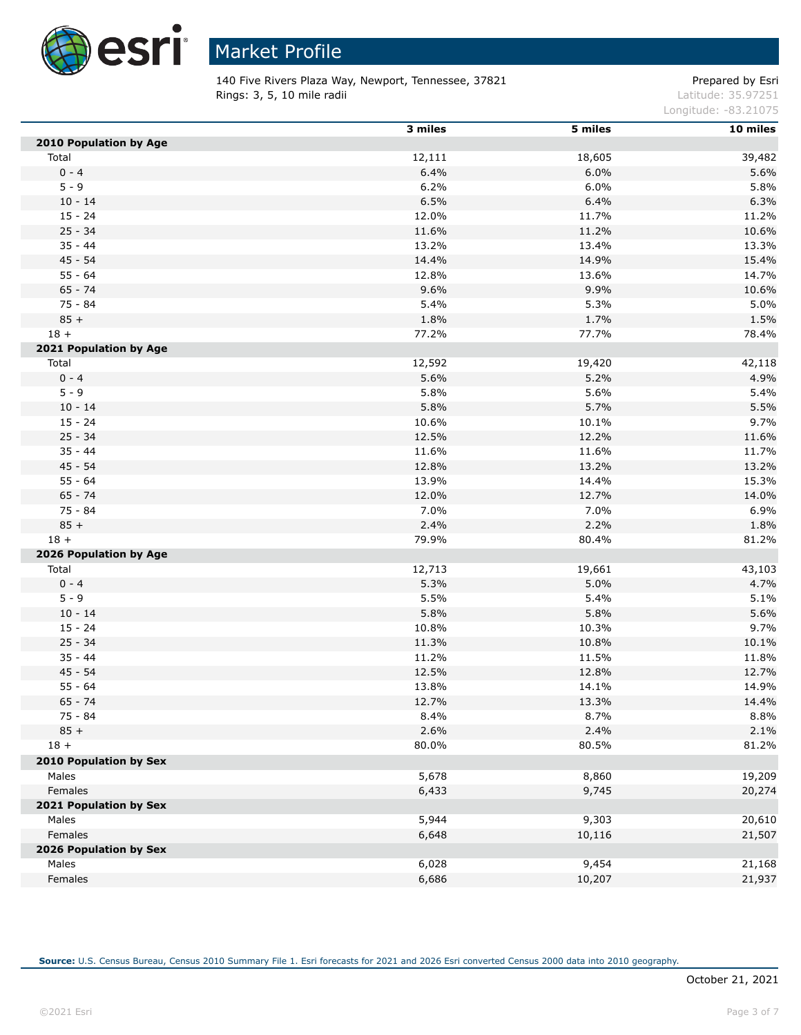

140 Five Rivers Plaza Way, Newport, Tennessee, 37821 entitled and the Compared by Esri **Rings: 3, 5, 10 mile radii** Latitude: 35.97251

Longitude: -83.21075

|                        | 3 miles | 5 miles | 10 miles |
|------------------------|---------|---------|----------|
| 2010 Population by Age |         |         |          |
| Total                  | 12,111  | 18,605  | 39,482   |
| $0 - 4$                | 6.4%    | 6.0%    | 5.6%     |
| $5 - 9$                | 6.2%    | 6.0%    | 5.8%     |
| $10 - 14$              | 6.5%    | 6.4%    | 6.3%     |
| $15 - 24$              | 12.0%   | 11.7%   | 11.2%    |
| $25 - 34$              | 11.6%   | 11.2%   | 10.6%    |
| $35 - 44$              | 13.2%   | 13.4%   | 13.3%    |
| $45 - 54$              | 14.4%   | 14.9%   | 15.4%    |
| $55 - 64$              | 12.8%   | 13.6%   | 14.7%    |
| $65 - 74$              | 9.6%    | 9.9%    | 10.6%    |
| 75 - 84                | 5.4%    | 5.3%    | 5.0%     |
| $85 +$                 | 1.8%    | 1.7%    | 1.5%     |
| $18 +$                 | 77.2%   | 77.7%   | 78.4%    |
| 2021 Population by Age |         |         |          |
| Total                  | 12,592  | 19,420  | 42,118   |
| $0 - 4$                | 5.6%    | 5.2%    | 4.9%     |
| $5 - 9$                | 5.8%    | 5.6%    | 5.4%     |
| $10 - 14$              | 5.8%    | 5.7%    | 5.5%     |
| $15 - 24$              | 10.6%   | 10.1%   | 9.7%     |
| $25 - 34$              | 12.5%   | 12.2%   | 11.6%    |
| $35 - 44$              | 11.6%   | 11.6%   | 11.7%    |
| $45 - 54$              | 12.8%   | 13.2%   | 13.2%    |
| $55 - 64$              | 13.9%   | 14.4%   | 15.3%    |
| $65 - 74$              | 12.0%   | 12.7%   | 14.0%    |
| 75 - 84                | 7.0%    | 7.0%    | 6.9%     |
| $85 +$                 | 2.4%    | 2.2%    | 1.8%     |
| $18 +$                 | 79.9%   | 80.4%   | 81.2%    |
| 2026 Population by Age |         |         |          |
| Total                  | 12,713  | 19,661  | 43,103   |
| $0 - 4$                | 5.3%    | 5.0%    | 4.7%     |
| $5 - 9$                | 5.5%    | 5.4%    | 5.1%     |
| $10 - 14$              | 5.8%    | 5.8%    | 5.6%     |
| $15 - 24$              | 10.8%   | 10.3%   | 9.7%     |
| $25 - 34$              | 11.3%   | 10.8%   | 10.1%    |
| $35 - 44$              | 11.2%   | 11.5%   | 11.8%    |
| $45 - 54$              | 12.5%   | 12.8%   | 12.7%    |
| $55 - 64$              | 13.8%   | 14.1%   | 14.9%    |
| $65 - 74$              | 12.7%   | 13.3%   | 14.4%    |
| 75 - 84                | 8.4%    | 8.7%    | 8.8%     |
| $85 +$                 | 2.6%    | 2.4%    | 2.1%     |
| $18 +$                 | 80.0%   | 80.5%   | 81.2%    |
| 2010 Population by Sex |         |         |          |
| Males                  | 5,678   | 8,860   | 19,209   |
| Females                | 6,433   | 9,745   | 20,274   |
| 2021 Population by Sex |         |         |          |
| Males                  | 5,944   | 9,303   | 20,610   |
| Females                | 6,648   | 10,116  | 21,507   |
| 2026 Population by Sex |         |         |          |
| Males                  | 6,028   | 9,454   | 21,168   |
| Females                | 6,686   | 10,207  | 21,937   |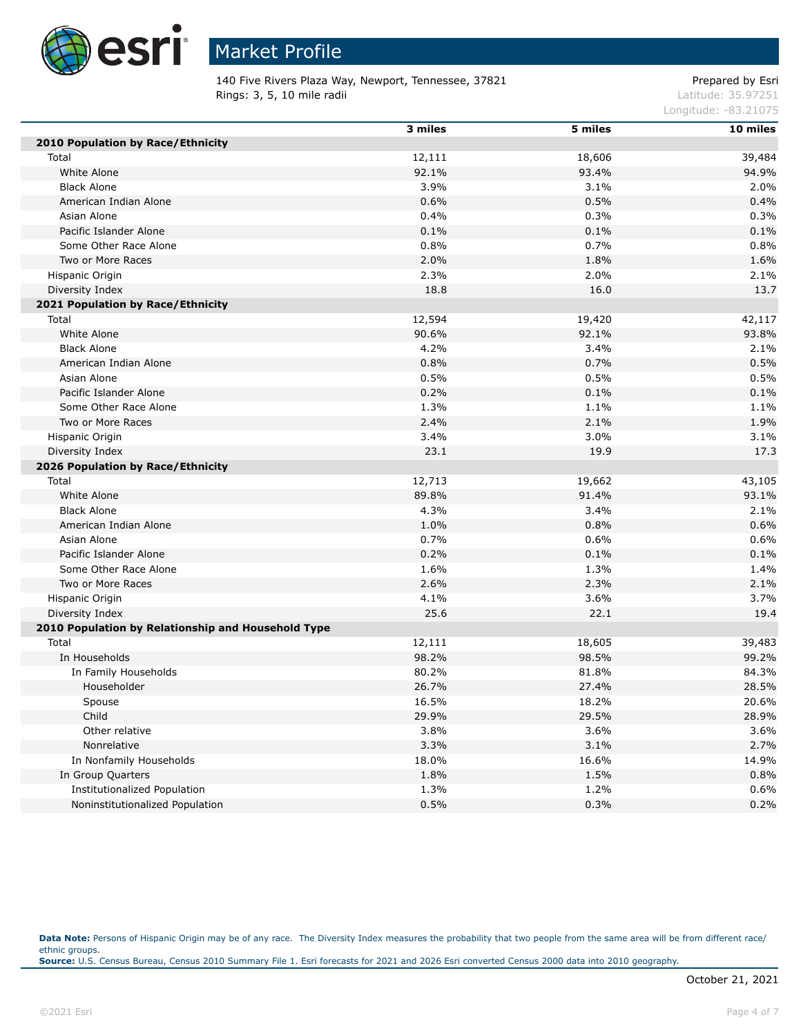

140 Five Rivers Plaza Way, Newport, Tennessee, 37821 entitled and the State Prepared by Esri **Rings: 3, 5, 10 mile radii** Latitude: 35.97251

Longitude: -83.21075

|                                                    | 3 miles | 5 miles | 10 miles |
|----------------------------------------------------|---------|---------|----------|
| 2010 Population by Race/Ethnicity                  |         |         |          |
| Total                                              | 12,111  | 18,606  | 39,484   |
| White Alone                                        | 92.1%   | 93.4%   | 94.9%    |
| <b>Black Alone</b>                                 | 3.9%    | 3.1%    | 2.0%     |
| American Indian Alone                              | 0.6%    | 0.5%    | 0.4%     |
| Asian Alone                                        | 0.4%    | 0.3%    | 0.3%     |
| Pacific Islander Alone                             | 0.1%    | 0.1%    | 0.1%     |
| Some Other Race Alone                              | 0.8%    | 0.7%    | 0.8%     |
| Two or More Races                                  | 2.0%    | 1.8%    | 1.6%     |
| Hispanic Origin                                    | 2.3%    | 2.0%    | 2.1%     |
| Diversity Index                                    | 18.8    | 16.0    | 13.7     |
| 2021 Population by Race/Ethnicity                  |         |         |          |
| Total                                              | 12,594  | 19,420  | 42,117   |
| White Alone                                        | 90.6%   | 92.1%   | 93.8%    |
| <b>Black Alone</b>                                 | 4.2%    | 3.4%    | 2.1%     |
| American Indian Alone                              | 0.8%    | 0.7%    | 0.5%     |
| Asian Alone                                        | 0.5%    | 0.5%    | 0.5%     |
| Pacific Islander Alone                             | 0.2%    | 0.1%    | 0.1%     |
| Some Other Race Alone                              | 1.3%    | 1.1%    | 1.1%     |
| Two or More Races                                  | 2.4%    | 2.1%    | 1.9%     |
| Hispanic Origin                                    | 3.4%    | 3.0%    | 3.1%     |
| Diversity Index                                    | 23.1    | 19.9    | 17.3     |
| 2026 Population by Race/Ethnicity                  |         |         |          |
| Total                                              | 12,713  | 19,662  | 43,105   |
| White Alone                                        | 89.8%   | 91.4%   | 93.1%    |
| <b>Black Alone</b>                                 | 4.3%    | 3.4%    | 2.1%     |
| American Indian Alone                              | 1.0%    | 0.8%    | 0.6%     |
| Asian Alone                                        | 0.7%    | 0.6%    | 0.6%     |
| Pacific Islander Alone                             | 0.2%    | 0.1%    | 0.1%     |
| Some Other Race Alone                              | 1.6%    | 1.3%    | 1.4%     |
| Two or More Races                                  | 2.6%    | 2.3%    | 2.1%     |
| Hispanic Origin                                    | 4.1%    | 3.6%    | 3.7%     |
| Diversity Index                                    | 25.6    | 22.1    | 19.4     |
| 2010 Population by Relationship and Household Type |         |         |          |
| Total                                              | 12,111  | 18,605  | 39,483   |
| In Households                                      | 98.2%   | 98.5%   | 99.2%    |
| In Family Households                               | 80.2%   | 81.8%   | 84.3%    |
| Householder                                        | 26.7%   | 27.4%   | 28.5%    |
| Spouse                                             | 16.5%   | 18.2%   | 20.6%    |
| Child                                              | 29.9%   | 29.5%   | 28.9%    |
| Other relative                                     | 3.8%    | 3.6%    | 3.6%     |
| Nonrelative                                        | 3.3%    | 3.1%    | 2.7%     |
| In Nonfamily Households                            | 18.0%   | 16.6%   | 14.9%    |
| In Group Quarters                                  | 1.8%    | 1.5%    | 0.8%     |
| Institutionalized Population                       | 1.3%    | 1.2%    | 0.6%     |
| Noninstitutionalized Population                    | 0.5%    | 0.3%    | 0.2%     |

Data Note: Persons of Hispanic Origin may be of any race. The Diversity Index measures the probability that two people from the same area will be from different race/ ethnic groups. **Source:** U.S. Census Bureau, Census 2010 Summary File 1. Esri forecasts for 2021 and 2026 Esri converted Census 2000 data into 2010 geography.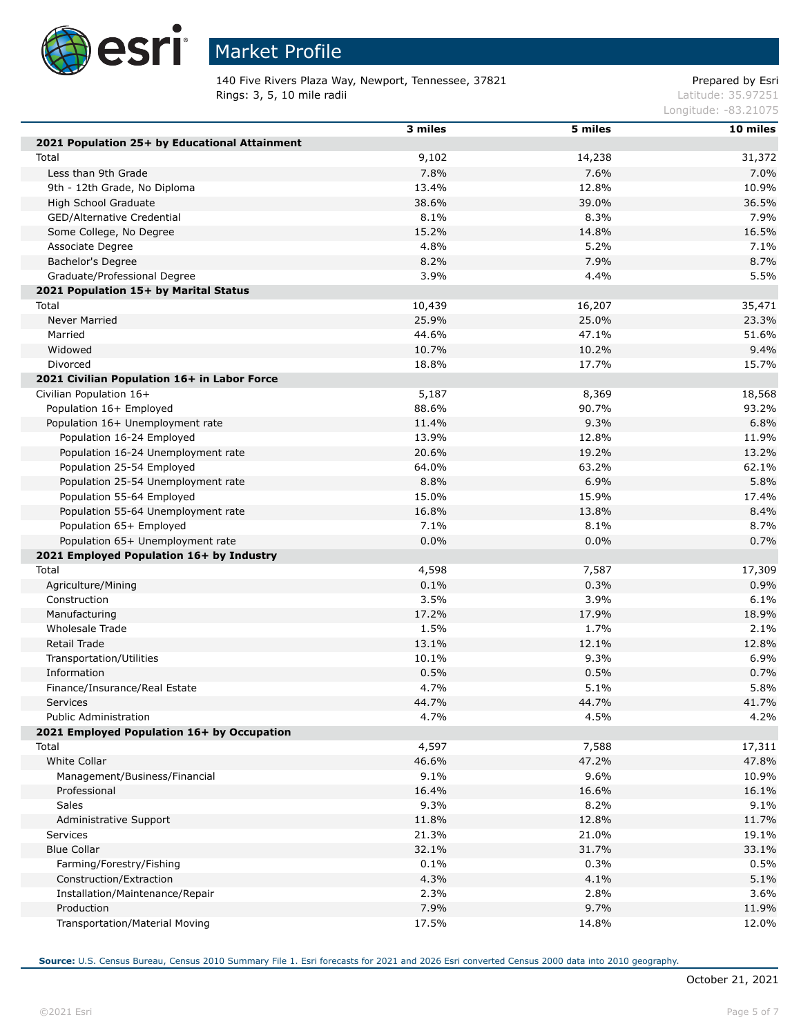

# Market Profile

140 Five Rivers Plaza Way, Newport, Tennessee, 37821 entitled and the Compared by Esri **Rings: 3, 5, 10 mile radii** Latitude: 35.97251

Longitude: -83.21075

|                                               | 3 miles       | 5 miles | 10 miles      |
|-----------------------------------------------|---------------|---------|---------------|
| 2021 Population 25+ by Educational Attainment |               |         |               |
| Total                                         | 9,102         | 14,238  | 31,372        |
| Less than 9th Grade                           | 7.8%          | 7.6%    | 7.0%          |
| 9th - 12th Grade, No Diploma                  | 13.4%         | 12.8%   | 10.9%         |
| High School Graduate                          | 38.6%         | 39.0%   | 36.5%         |
| GED/Alternative Credential                    | 8.1%          | 8.3%    | 7.9%          |
| Some College, No Degree                       | 15.2%         | 14.8%   | 16.5%         |
| Associate Degree                              | 4.8%          | 5.2%    | 7.1%          |
| Bachelor's Degree                             | 8.2%          | 7.9%    | 8.7%          |
| Graduate/Professional Degree                  | 3.9%          | 4.4%    | 5.5%          |
| 2021 Population 15+ by Marital Status         |               |         |               |
| Total                                         | 10,439        | 16,207  | 35,471        |
| <b>Never Married</b>                          | 25.9%         | 25.0%   | 23.3%         |
| Married                                       | 44.6%         | 47.1%   | 51.6%         |
| Widowed                                       | 10.7%         | 10.2%   | 9.4%          |
| Divorced                                      | 18.8%         | 17.7%   | 15.7%         |
| 2021 Civilian Population 16+ in Labor Force   |               |         |               |
| Civilian Population 16+                       | 5,187         | 8,369   | 18,568        |
| Population 16+ Employed                       | 88.6%         | 90.7%   | 93.2%         |
| Population 16+ Unemployment rate              | 11.4%         | 9.3%    | 6.8%          |
| Population 16-24 Employed                     | 13.9%         | 12.8%   | 11.9%         |
| Population 16-24 Unemployment rate            | 20.6%         | 19.2%   | 13.2%         |
| Population 25-54 Employed                     | 64.0%         | 63.2%   | 62.1%         |
| Population 25-54 Unemployment rate            | 8.8%          | 6.9%    | 5.8%          |
| Population 55-64 Employed                     | 15.0%         | 15.9%   | 17.4%         |
| Population 55-64 Unemployment rate            | 16.8%         | 13.8%   | 8.4%          |
| Population 65+ Employed                       | 7.1%          | 8.1%    | 8.7%          |
| Population 65+ Unemployment rate              | 0.0%          | $0.0\%$ | 0.7%          |
| 2021 Employed Population 16+ by Industry      |               |         |               |
| Total                                         | 4,598         | 7,587   | 17,309        |
| Agriculture/Mining                            | 0.1%          | 0.3%    | 0.9%          |
| Construction                                  | 3.5%          | 3.9%    | 6.1%          |
| Manufacturing                                 | 17.2%         | 17.9%   | 18.9%         |
| <b>Wholesale Trade</b>                        | 1.5%          | 1.7%    | 2.1%          |
| Retail Trade                                  | 13.1%         | 12.1%   | 12.8%         |
| Transportation/Utilities                      | 10.1%         | 9.3%    | 6.9%          |
| Information                                   | 0.5%          | 0.5%    | 0.7%          |
| Finance/Insurance/Real Estate                 | 4.7%          | 5.1%    | 5.8%          |
| Services                                      | 44.7%         | 44.7%   | 41.7%         |
| Public Administration                         | 4.7%          | 4.5%    | 4.2%          |
| 2021 Employed Population 16+ by Occupation    |               |         |               |
| Total                                         | 4,597         | 7,588   | 17,311        |
| <b>White Collar</b>                           | 46.6%         | 47.2%   | 47.8%         |
| Management/Business/Financial                 | 9.1%          | 9.6%    | 10.9%         |
| Professional                                  | 16.4%         | 16.6%   | 16.1%         |
| <b>Sales</b>                                  |               |         |               |
|                                               | 9.3%<br>11.8% | 8.2%    | 9.1%<br>11.7% |
| Administrative Support                        |               | 12.8%   |               |
| <b>Services</b>                               | 21.3%         | 21.0%   | 19.1%         |
| <b>Blue Collar</b>                            | 32.1%         | 31.7%   | 33.1%         |
| Farming/Forestry/Fishing                      | 0.1%          | 0.3%    | 0.5%          |
| Construction/Extraction                       | 4.3%          | 4.1%    | 5.1%          |
| Installation/Maintenance/Repair               | 2.3%          | 2.8%    | 3.6%          |
| Production                                    | 7.9%          | 9.7%    | 11.9%         |
| Transportation/Material Moving                | 17.5%         | 14.8%   | 12.0%         |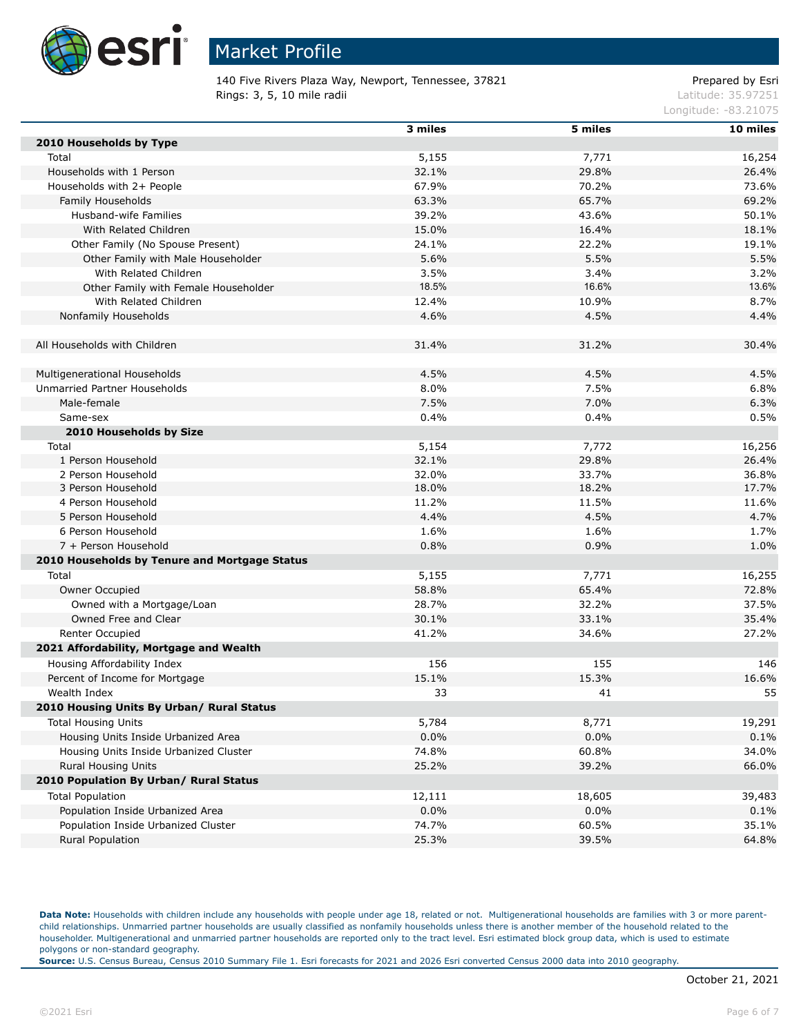

140 Five Rivers Plaza Way, Newport, Tennessee, 37821 Prepared by Esri Rings: 3, 5, 10 mile radii and the contract of the contract of the contract of the contract of the contract of the contract of the contract of the contract of the contract of the contract of the contract of the contract of

Longitude: -83.21075

|                                               | 3 miles | 5 miles | 10 miles |
|-----------------------------------------------|---------|---------|----------|
| 2010 Households by Type                       |         |         |          |
| Total                                         | 5,155   | 7,771   | 16,254   |
| Households with 1 Person                      | 32.1%   | 29.8%   | 26.4%    |
| Households with 2+ People                     | 67.9%   | 70.2%   | 73.6%    |
| Family Households                             | 63.3%   | 65.7%   | 69.2%    |
| Husband-wife Families                         | 39.2%   | 43.6%   | 50.1%    |
| With Related Children                         | 15.0%   | 16.4%   | 18.1%    |
| Other Family (No Spouse Present)              | 24.1%   | 22.2%   | 19.1%    |
| Other Family with Male Householder            | 5.6%    | 5.5%    | 5.5%     |
| With Related Children                         | 3.5%    | 3.4%    | 3.2%     |
| Other Family with Female Householder          | 18.5%   | 16.6%   | 13.6%    |
| With Related Children                         | 12.4%   | 10.9%   | 8.7%     |
| Nonfamily Households                          | 4.6%    | 4.5%    | 4.4%     |
|                                               |         |         |          |
| All Households with Children                  | 31.4%   | 31.2%   | 30.4%    |
|                                               |         |         |          |
| Multigenerational Households                  | 4.5%    | 4.5%    | 4.5%     |
| Unmarried Partner Households                  | 8.0%    | 7.5%    | 6.8%     |
| Male-female                                   | 7.5%    | 7.0%    | 6.3%     |
| Same-sex                                      | 0.4%    | 0.4%    | 0.5%     |
| 2010 Households by Size                       |         |         |          |
| Total                                         | 5,154   | 7,772   | 16,256   |
| 1 Person Household                            | 32.1%   | 29.8%   | 26.4%    |
| 2 Person Household                            | 32.0%   | 33.7%   | 36.8%    |
| 3 Person Household                            | 18.0%   | 18.2%   | 17.7%    |
| 4 Person Household                            | 11.2%   | 11.5%   | 11.6%    |
| 5 Person Household                            | 4.4%    | 4.5%    | 4.7%     |
| 6 Person Household                            | 1.6%    | 1.6%    | 1.7%     |
| 7 + Person Household                          | 0.8%    | 0.9%    | 1.0%     |
| 2010 Households by Tenure and Mortgage Status |         |         |          |
| Total                                         | 5,155   | 7,771   | 16,255   |
| Owner Occupied                                | 58.8%   | 65.4%   | 72.8%    |
| Owned with a Mortgage/Loan                    | 28.7%   | 32.2%   | 37.5%    |
| Owned Free and Clear                          | 30.1%   | 33.1%   | 35.4%    |
| Renter Occupied                               | 41.2%   | 34.6%   | 27.2%    |
| 2021 Affordability, Mortgage and Wealth       |         |         |          |
| Housing Affordability Index                   | 156     | 155     | 146      |
| Percent of Income for Mortgage                | 15.1%   | 15.3%   | 16.6%    |
| Wealth Index                                  | 33      | 41      | 55       |
| 2010 Housing Units By Urban/ Rural Status     |         |         |          |
| <b>Total Housing Units</b>                    | 5,784   | 8,771   | 19,291   |
| Housing Units Inside Urbanized Area           | $0.0\%$ | 0.0%    | 0.1%     |
| Housing Units Inside Urbanized Cluster        | 74.8%   | 60.8%   | 34.0%    |
| <b>Rural Housing Units</b>                    | 25.2%   | 39.2%   | 66.0%    |
| 2010 Population By Urban/ Rural Status        |         |         |          |
| <b>Total Population</b>                       | 12,111  | 18,605  | 39,483   |
| Population Inside Urbanized Area              | 0.0%    | 0.0%    | 0.1%     |
| Population Inside Urbanized Cluster           | 74.7%   | 60.5%   | 35.1%    |
| Rural Population                              | 25.3%   | 39.5%   | 64.8%    |
|                                               |         |         |          |

Data Note: Households with children include any households with people under age 18, related or not. Multigenerational households are families with 3 or more parentchild relationships. Unmarried partner households are usually classified as nonfamily households unless there is another member of the household related to the householder. Multigenerational and unmarried partner households are reported only to the tract level. Esri estimated block group data, which is used to estimate polygons or non-standard geography.